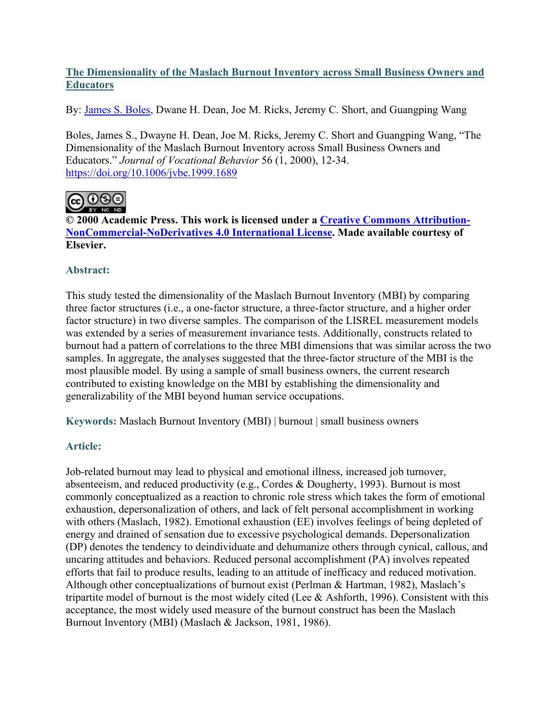## **The Dimensionality of the Maslach Burnout Inventory across Small Business Owners and Educators**

By: [James S. Boles,](https://libres.uncg.edu/ir/uncg/clist.aspx?id=26270) Dwane H. Dean, Joe M. Ricks, Jeremy C. Short, and Guangping Wang

Boles, James S., Dwayne H. Dean, Joe M. Ricks, Jeremy C. Short and Guangping Wang, "The Dimensionality of the Maslach Burnout Inventory across Small Business Owners and Educators." *Journal of Vocational Behavior* 56 (1, 2000), 12-34. <https://doi.org/10.1006/jvbe.1999.1689>

# @0®0

**© 2000 Academic Press. This work is licensed under a [Creative Commons Attribution-](http://creativecommons.org/licenses/by-nc-nd/4.0/)[NonCommercial-NoDerivatives 4.0 International License.](http://creativecommons.org/licenses/by-nc-nd/4.0/) Made available courtesy of Elsevier.**

# **Abstract:**

This study tested the dimensionality of the Maslach Burnout Inventory (MBI) by comparing three factor structures (i.e., a one-factor structure, a three-factor structure, and a higher order factor structure) in two diverse samples. The comparison of the LISREL measurement models was extended by a series of measurement invariance tests. Additionally, constructs related to burnout had a pattern of correlations to the three MBI dimensions that was similar across the two samples. In aggregate, the analyses suggested that the three-factor structure of the MBI is the most plausible model. By using a sample of small business owners, the current research contributed to existing knowledge on the MBI by establishing the dimensionality and generalizability of the MBI beyond human service occupations.

**Keywords:** Maslach Burnout Inventory (MBI) | burnout | small business owners

# **Article:**

Job-related burnout may lead to physical and emotional illness, increased job turnover, absenteeism, and reduced productivity (e.g., Cordes & Dougherty, 1993). Burnout is most commonly conceptualized as a reaction to chronic role stress which takes the form of emotional exhaustion, depersonalization of others, and lack of felt personal accomplishment in working with others (Maslach, 1982). Emotional exhaustion (EE) involves feelings of being depleted of energy and drained of sensation due to excessive psychological demands. Depersonalization (DP) denotes the tendency to deindividuate and dehumanize others through cynical, callous, and uncaring attitudes and behaviors. Reduced personal accomplishment (PA) involves repeated efforts that fail to produce results, leading to an attitude of inefficacy and reduced motivation. Although other conceptualizations of burnout exist (Perlman & Hartman, 1982), Maslach's tripartite model of burnout is the most widely cited (Lee & Ashforth, 1996). Consistent with this acceptance, the most widely used measure of the burnout construct has been the Maslach Burnout Inventory (MBI) (Maslach & Jackson, 1981, 1986).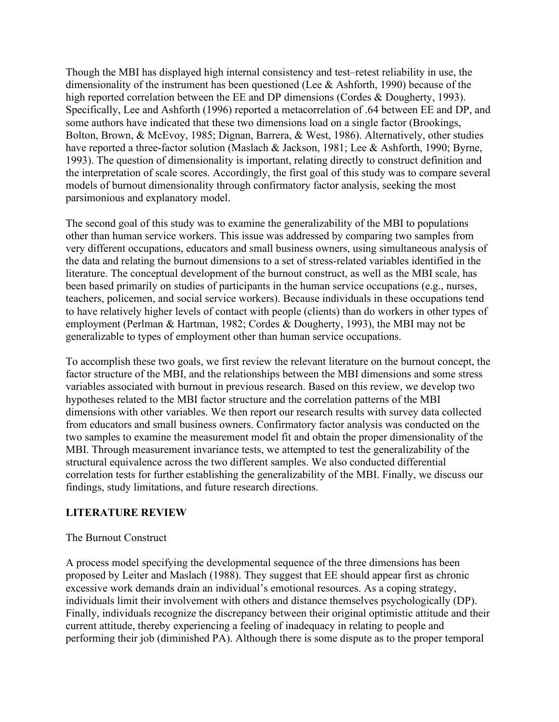Though the MBI has displayed high internal consistency and test–retest reliability in use, the dimensionality of the instrument has been questioned (Lee & Ashforth, 1990) because of the high reported correlation between the EE and DP dimensions (Cordes & Dougherty, 1993). Specifically, Lee and Ashforth (1996) reported a metacorrelation of .64 between EE and DP, and some authors have indicated that these two dimensions load on a single factor (Brookings, Bolton, Brown, & McEvoy, 1985; Dignan, Barrera, & West, 1986). Alternatively, other studies have reported a three-factor solution (Maslach & Jackson, 1981; Lee & Ashforth, 1990; Byrne, 1993). The question of dimensionality is important, relating directly to construct definition and the interpretation of scale scores. Accordingly, the first goal of this study was to compare several models of burnout dimensionality through confirmatory factor analysis, seeking the most parsimonious and explanatory model.

The second goal of this study was to examine the generalizability of the MBI to populations other than human service workers. This issue was addressed by comparing two samples from very different occupations, educators and small business owners, using simultaneous analysis of the data and relating the burnout dimensions to a set of stress-related variables identified in the literature. The conceptual development of the burnout construct, as well as the MBI scale, has been based primarily on studies of participants in the human service occupations (e.g., nurses, teachers, policemen, and social service workers). Because individuals in these occupations tend to have relatively higher levels of contact with people (clients) than do workers in other types of employment (Perlman & Hartman, 1982; Cordes & Dougherty, 1993), the MBI may not be generalizable to types of employment other than human service occupations.

To accomplish these two goals, we first review the relevant literature on the burnout concept, the factor structure of the MBI, and the relationships between the MBI dimensions and some stress variables associated with burnout in previous research. Based on this review, we develop two hypotheses related to the MBI factor structure and the correlation patterns of the MBI dimensions with other variables. We then report our research results with survey data collected from educators and small business owners. Confirmatory factor analysis was conducted on the two samples to examine the measurement model fit and obtain the proper dimensionality of the MBI. Through measurement invariance tests, we attempted to test the generalizability of the structural equivalence across the two different samples. We also conducted differential correlation tests for further establishing the generalizability of the MBI. Finally, we discuss our findings, study limitations, and future research directions.

#### **LITERATURE REVIEW**

#### The Burnout Construct

A process model specifying the developmental sequence of the three dimensions has been proposed by Leiter and Maslach (1988). They suggest that EE should appear first as chronic excessive work demands drain an individual's emotional resources. As a coping strategy, individuals limit their involvement with others and distance themselves psychologically (DP). Finally, individuals recognize the discrepancy between their original optimistic attitude and their current attitude, thereby experiencing a feeling of inadequacy in relating to people and performing their job (diminished PA). Although there is some dispute as to the proper temporal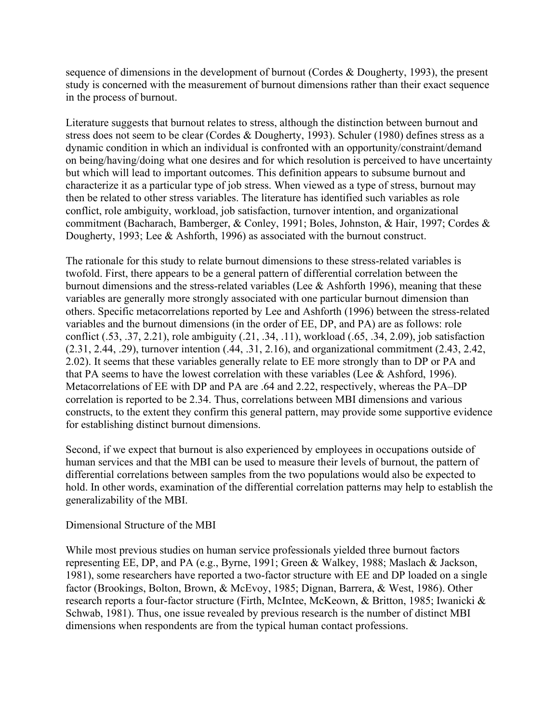sequence of dimensions in the development of burnout (Cordes & Dougherty, 1993), the present study is concerned with the measurement of burnout dimensions rather than their exact sequence in the process of burnout.

Literature suggests that burnout relates to stress, although the distinction between burnout and stress does not seem to be clear (Cordes & Dougherty, 1993). Schuler (1980) defines stress as a dynamic condition in which an individual is confronted with an opportunity/constraint/demand on being/having/doing what one desires and for which resolution is perceived to have uncertainty but which will lead to important outcomes. This definition appears to subsume burnout and characterize it as a particular type of job stress. When viewed as a type of stress, burnout may then be related to other stress variables. The literature has identified such variables as role conflict, role ambiguity, workload, job satisfaction, turnover intention, and organizational commitment (Bacharach, Bamberger, & Conley, 1991; Boles, Johnston, & Hair, 1997; Cordes & Dougherty, 1993; Lee & Ashforth, 1996) as associated with the burnout construct.

The rationale for this study to relate burnout dimensions to these stress-related variables is twofold. First, there appears to be a general pattern of differential correlation between the burnout dimensions and the stress-related variables (Lee & Ashforth 1996), meaning that these variables are generally more strongly associated with one particular burnout dimension than others. Specific metacorrelations reported by Lee and Ashforth (1996) between the stress-related variables and the burnout dimensions (in the order of EE, DP, and PA) are as follows: role conflict (.53, .37, 2.21), role ambiguity (.21, .34, .11), workload (.65, .34, 2.09), job satisfaction (2.31, 2.44, .29), turnover intention (.44, .31, 2.16), and organizational commitment (2.43, 2.42, 2.02). It seems that these variables generally relate to EE more strongly than to DP or PA and that PA seems to have the lowest correlation with these variables (Lee & Ashford, 1996). Metacorrelations of EE with DP and PA are .64 and 2.22, respectively, whereas the PA–DP correlation is reported to be 2.34. Thus, correlations between MBI dimensions and various constructs, to the extent they confirm this general pattern, may provide some supportive evidence for establishing distinct burnout dimensions.

Second, if we expect that burnout is also experienced by employees in occupations outside of human services and that the MBI can be used to measure their levels of burnout, the pattern of differential correlations between samples from the two populations would also be expected to hold. In other words, examination of the differential correlation patterns may help to establish the generalizability of the MBI.

#### Dimensional Structure of the MBI

While most previous studies on human service professionals yielded three burnout factors representing EE, DP, and PA (e.g., Byrne, 1991; Green & Walkey, 1988; Maslach & Jackson, 1981), some researchers have reported a two-factor structure with EE and DP loaded on a single factor (Brookings, Bolton, Brown, & McEvoy, 1985; Dignan, Barrera, & West, 1986). Other research reports a four-factor structure (Firth, McIntee, McKeown, & Britton, 1985; Iwanicki & Schwab, 1981). Thus, one issue revealed by previous research is the number of distinct MBI dimensions when respondents are from the typical human contact professions.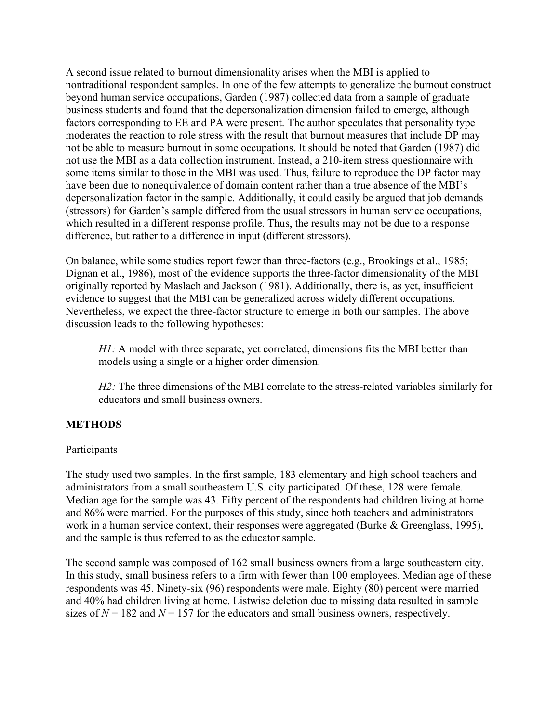A second issue related to burnout dimensionality arises when the MBI is applied to nontraditional respondent samples. In one of the few attempts to generalize the burnout construct beyond human service occupations, Garden (1987) collected data from a sample of graduate business students and found that the depersonalization dimension failed to emerge, although factors corresponding to EE and PA were present. The author speculates that personality type moderates the reaction to role stress with the result that burnout measures that include DP may not be able to measure burnout in some occupations. It should be noted that Garden (1987) did not use the MBI as a data collection instrument. Instead, a 210-item stress questionnaire with some items similar to those in the MBI was used. Thus, failure to reproduce the DP factor may have been due to nonequivalence of domain content rather than a true absence of the MBI's depersonalization factor in the sample. Additionally, it could easily be argued that job demands (stressors) for Garden's sample differed from the usual stressors in human service occupations, which resulted in a different response profile. Thus, the results may not be due to a response difference, but rather to a difference in input (different stressors).

On balance, while some studies report fewer than three-factors (e.g., Brookings et al., 1985; Dignan et al., 1986), most of the evidence supports the three-factor dimensionality of the MBI originally reported by Maslach and Jackson (1981). Additionally, there is, as yet, insufficient evidence to suggest that the MBI can be generalized across widely different occupations. Nevertheless, we expect the three-factor structure to emerge in both our samples. The above discussion leads to the following hypotheses:

*H1*: A model with three separate, yet correlated, dimensions fits the MBI better than models using a single or a higher order dimension.

*H2*: The three dimensions of the MBI correlate to the stress-related variables similarly for educators and small business owners.

## **METHODS**

#### Participants

The study used two samples. In the first sample, 183 elementary and high school teachers and administrators from a small southeastern U.S. city participated. Of these, 128 were female. Median age for the sample was 43. Fifty percent of the respondents had children living at home and 86% were married. For the purposes of this study, since both teachers and administrators work in a human service context, their responses were aggregated (Burke & Greenglass, 1995), and the sample is thus referred to as the educator sample.

The second sample was composed of 162 small business owners from a large southeastern city. In this study, small business refers to a firm with fewer than 100 employees. Median age of these respondents was 45. Ninety-six (96) respondents were male. Eighty (80) percent were married and 40% had children living at home. Listwise deletion due to missing data resulted in sample sizes of  $N = 182$  and  $N = 157$  for the educators and small business owners, respectively.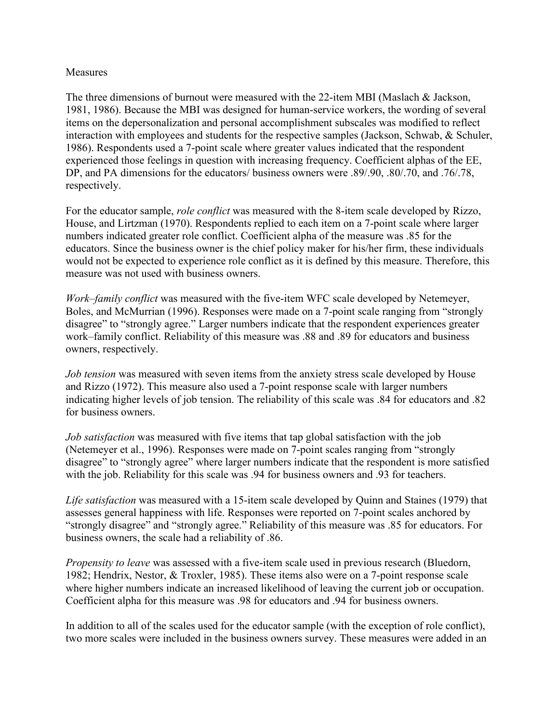#### **Measures**

The three dimensions of burnout were measured with the 22-item MBI (Maslach & Jackson, 1981, 1986). Because the MBI was designed for human-service workers, the wording of several items on the depersonalization and personal accomplishment subscales was modified to reflect interaction with employees and students for the respective samples (Jackson, Schwab, & Schuler, 1986). Respondents used a 7-point scale where greater values indicated that the respondent experienced those feelings in question with increasing frequency. Coefficient alphas of the EE, DP, and PA dimensions for the educators/ business owners were .89/.90, .80/.70, and .76/.78, respectively.

For the educator sample, *role conflict* was measured with the 8-item scale developed by Rizzo, House, and Lirtzman (1970). Respondents replied to each item on a 7-point scale where larger numbers indicated greater role conflict. Coefficient alpha of the measure was .85 for the educators. Since the business owner is the chief policy maker for his/her firm, these individuals would not be expected to experience role conflict as it is defined by this measure. Therefore, this measure was not used with business owners.

*Work–family conflict* was measured with the five-item WFC scale developed by Netemeyer, Boles, and McMurrian (1996). Responses were made on a 7-point scale ranging from "strongly disagree" to "strongly agree." Larger numbers indicate that the respondent experiences greater work–family conflict. Reliability of this measure was .88 and .89 for educators and business owners, respectively.

*Job tension* was measured with seven items from the anxiety stress scale developed by House and Rizzo (1972). This measure also used a 7-point response scale with larger numbers indicating higher levels of job tension. The reliability of this scale was .84 for educators and .82 for business owners.

*Job satisfaction* was measured with five items that tap global satisfaction with the job (Netemeyer et al., 1996). Responses were made on 7-point scales ranging from "strongly disagree" to "strongly agree" where larger numbers indicate that the respondent is more satisfied with the job. Reliability for this scale was .94 for business owners and .93 for teachers.

*Life satisfaction* was measured with a 15-item scale developed by Quinn and Staines (1979) that assesses general happiness with life. Responses were reported on 7-point scales anchored by "strongly disagree" and "strongly agree." Reliability of this measure was .85 for educators. For business owners, the scale had a reliability of .86.

*Propensity to leave* was assessed with a five-item scale used in previous research (Bluedorn, 1982; Hendrix, Nestor, & Troxler, 1985). These items also were on a 7-point response scale where higher numbers indicate an increased likelihood of leaving the current job or occupation. Coefficient alpha for this measure was .98 for educators and .94 for business owners.

In addition to all of the scales used for the educator sample (with the exception of role conflict), two more scales were included in the business owners survey. These measures were added in an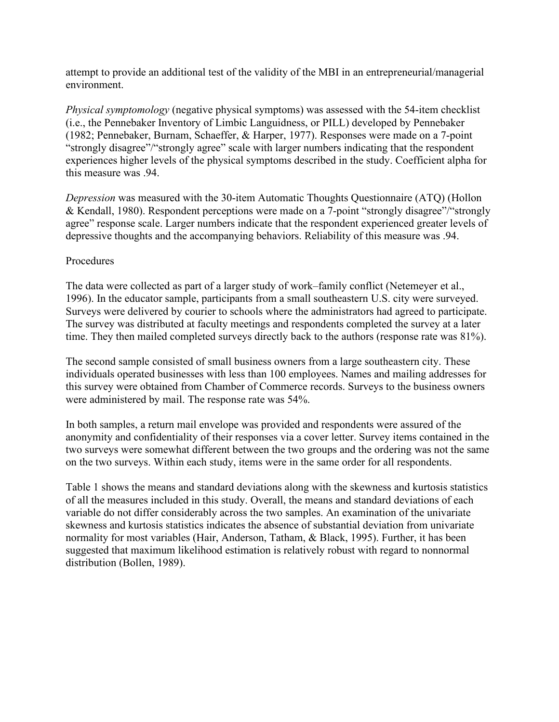attempt to provide an additional test of the validity of the MBI in an entrepreneurial/managerial environment.

*Physical symptomology* (negative physical symptoms) was assessed with the 54-item checklist (i.e., the Pennebaker Inventory of Limbic Languidness, or PILL) developed by Pennebaker (1982; Pennebaker, Burnam, Schaeffer, & Harper, 1977). Responses were made on a 7-point "strongly disagree"/"strongly agree" scale with larger numbers indicating that the respondent experiences higher levels of the physical symptoms described in the study. Coefficient alpha for this measure was .94.

*Depression* was measured with the 30-item Automatic Thoughts Questionnaire (ATQ) (Hollon & Kendall, 1980). Respondent perceptions were made on a 7-point "strongly disagree"/"strongly agree" response scale. Larger numbers indicate that the respondent experienced greater levels of depressive thoughts and the accompanying behaviors. Reliability of this measure was .94.

#### Procedures

The data were collected as part of a larger study of work–family conflict (Netemeyer et al., 1996). In the educator sample, participants from a small southeastern U.S. city were surveyed. Surveys were delivered by courier to schools where the administrators had agreed to participate. The survey was distributed at faculty meetings and respondents completed the survey at a later time. They then mailed completed surveys directly back to the authors (response rate was 81%).

The second sample consisted of small business owners from a large southeastern city. These individuals operated businesses with less than 100 employees. Names and mailing addresses for this survey were obtained from Chamber of Commerce records. Surveys to the business owners were administered by mail. The response rate was 54%.

In both samples, a return mail envelope was provided and respondents were assured of the anonymity and confidentiality of their responses via a cover letter. Survey items contained in the two surveys were somewhat different between the two groups and the ordering was not the same on the two surveys. Within each study, items were in the same order for all respondents.

Table 1 shows the means and standard deviations along with the skewness and kurtosis statistics of all the measures included in this study. Overall, the means and standard deviations of each variable do not differ considerably across the two samples. An examination of the univariate skewness and kurtosis statistics indicates the absence of substantial deviation from univariate normality for most variables (Hair, Anderson, Tatham, & Black, 1995). Further, it has been suggested that maximum likelihood estimation is relatively robust with regard to nonnormal distribution (Bollen, 1989).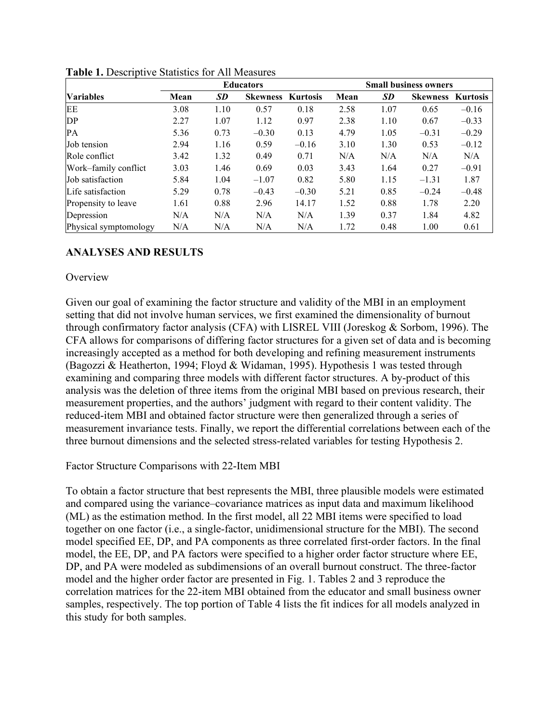|                       | <b>Educators</b> |           |                 |                 |      | <b>Small business owners</b> |                 |                 |  |  |  |  |
|-----------------------|------------------|-----------|-----------------|-----------------|------|------------------------------|-----------------|-----------------|--|--|--|--|
| <b>Variables</b>      | Mean             | <b>SD</b> | <b>Skewness</b> | <b>Kurtosis</b> | Mean | <b>SD</b>                    | <b>Skewness</b> | <b>Kurtosis</b> |  |  |  |  |
| EE                    | 3.08             | 1.10      | 0.57            | 0.18            | 2.58 | 1.07                         | 0.65            | $-0.16$         |  |  |  |  |
| DP                    | 2.27             | 1.07      | 1.12            | 0.97            | 2.38 | 1.10                         | 0.67            | $-0.33$         |  |  |  |  |
| PA                    | 5.36             | 0.73      | $-0.30$         | 0.13            | 4.79 | 1.05                         | $-0.31$         | $-0.29$         |  |  |  |  |
| Job tension           | 2.94             | 1.16      | 0.59            | $-0.16$         | 3.10 | 1.30                         | 0.53            | $-0.12$         |  |  |  |  |
| Role conflict         | 3.42             | 1.32      | 0.49            | 0.71            | N/A  | N/A                          | N/A             | N/A             |  |  |  |  |
| Work-family conflict  | 3.03             | 1.46      | 0.69            | 0.03            | 3.43 | 1.64                         | 0.27            | $-0.91$         |  |  |  |  |
| Job satisfaction      | 5.84             | 1.04      | $-1.07$         | 0.82            | 5.80 | 1.15                         | $-1.31$         | 1.87            |  |  |  |  |
| Life satisfaction     | 5.29             | 0.78      | $-0.43$         | $-0.30$         | 5.21 | 0.85                         | $-0.24$         | $-0.48$         |  |  |  |  |
| Propensity to leave   | 1.61             | 0.88      | 2.96            | 14.17           | 1.52 | 0.88                         | 1.78            | 2.20            |  |  |  |  |
| Depression            | N/A              | N/A       | N/A             | N/A             | 1.39 | 0.37                         | 1.84            | 4.82            |  |  |  |  |
| Physical symptomology | N/A              | N/A       | N/A             | N/A             | 1.72 | 0.48                         | 1.00            | 0.61            |  |  |  |  |

**Table 1.** Descriptive Statistics for All Measures

## **ANALYSES AND RESULTS**

#### **Overview**

Given our goal of examining the factor structure and validity of the MBI in an employment setting that did not involve human services, we first examined the dimensionality of burnout through confirmatory factor analysis (CFA) with LISREL VIII (Joreskog & Sorbom, 1996). The CFA allows for comparisons of differing factor structures for a given set of data and is becoming increasingly accepted as a method for both developing and refining measurement instruments (Bagozzi & Heatherton, 1994; Floyd & Widaman, 1995). Hypothesis 1 was tested through examining and comparing three models with different factor structures. A by-product of this analysis was the deletion of three items from the original MBI based on previous research, their measurement properties, and the authors' judgment with regard to their content validity. The reduced-item MBI and obtained factor structure were then generalized through a series of measurement invariance tests. Finally, we report the differential correlations between each of the three burnout dimensions and the selected stress-related variables for testing Hypothesis 2.

#### Factor Structure Comparisons with 22-Item MBI

To obtain a factor structure that best represents the MBI, three plausible models were estimated and compared using the variance–covariance matrices as input data and maximum likelihood (ML) as the estimation method. In the first model, all 22 MBI items were specified to load together on one factor (i.e., a single-factor, unidimensional structure for the MBI). The second model specified EE, DP, and PA components as three correlated first-order factors. In the final model, the EE, DP, and PA factors were specified to a higher order factor structure where EE, DP, and PA were modeled as subdimensions of an overall burnout construct. The three-factor model and the higher order factor are presented in Fig. 1. Tables 2 and 3 reproduce the correlation matrices for the 22-item MBI obtained from the educator and small business owner samples, respectively. The top portion of Table 4 lists the fit indices for all models analyzed in this study for both samples.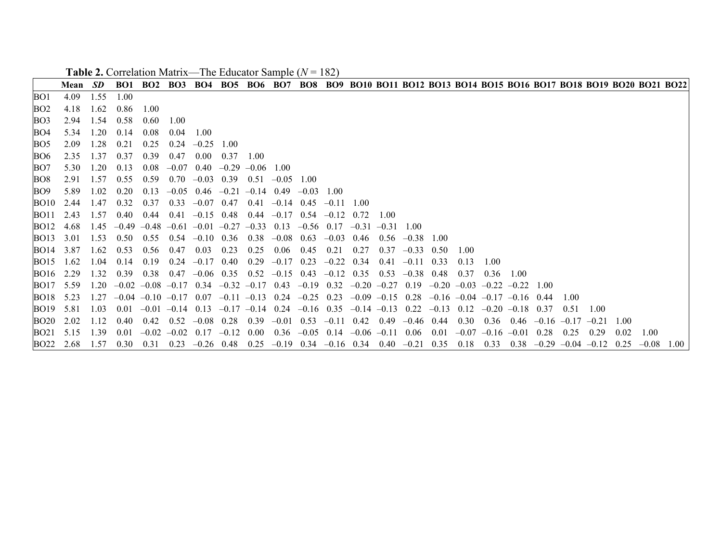|             | Mean | <b>SD</b> | <b>BO1</b> | BO <sub>2</sub> | <b>BO3</b>      | <b>BO4</b>     | <b>BO5</b>             | <b>BO6</b>   | BO7     | <b>BO8</b>   |         |                              |                 |         |         |                                      |                 |                      |                    |         |         |      | BO9 BO10 BO11 BO12 BO13 BO14 BO15 BO16 BO17 BO18 BO19 BO20 BO21 BO22 |      |
|-------------|------|-----------|------------|-----------------|-----------------|----------------|------------------------|--------------|---------|--------------|---------|------------------------------|-----------------|---------|---------|--------------------------------------|-----------------|----------------------|--------------------|---------|---------|------|----------------------------------------------------------------------|------|
| BO1         | 4.09 | 1.55      | 1.00       |                 |                 |                |                        |              |         |              |         |                              |                 |         |         |                                      |                 |                      |                    |         |         |      |                                                                      |      |
| BO2         | 4.18 | 1.62      | 0.86       | 1.00            |                 |                |                        |              |         |              |         |                              |                 |         |         |                                      |                 |                      |                    |         |         |      |                                                                      |      |
| BO3         | 2.94 | 1.54      | 0.58       | 0.60            | 1.00            |                |                        |              |         |              |         |                              |                 |         |         |                                      |                 |                      |                    |         |         |      |                                                                      |      |
| BO4         | 5.34 | 1.20      | 0.14       | 0.08            | 0.04            | 1.00           |                        |              |         |              |         |                              |                 |         |         |                                      |                 |                      |                    |         |         |      |                                                                      |      |
| BO5         | 2.09 | 1.28      | 0.21       | 0.25            | 0.24            | $-0.25$        | 1.00                   |              |         |              |         |                              |                 |         |         |                                      |                 |                      |                    |         |         |      |                                                                      |      |
| BO6         | 2.35 | 1.37      | 0.37       | 0.39            | 0.47            | $0.00^{\circ}$ | 0.37                   | 1.00         |         |              |         |                              |                 |         |         |                                      |                 |                      |                    |         |         |      |                                                                      |      |
| BO7         | 5.30 | 1.20      | 0.13       | 0.08            | $-0.07$         | 0.40           | $-0.29$                | $-0.06$      | 1.00    |              |         |                              |                 |         |         |                                      |                 |                      |                    |         |         |      |                                                                      |      |
| BO8         | 2.91 | 1.57      | 0.55       | 0.59            | 0.70            | $-0.03$        | 0.39                   | 0.51         | $-0.05$ | 1.00         |         |                              |                 |         |         |                                      |                 |                      |                    |         |         |      |                                                                      |      |
| BO9         | 5.89 | 1.02      | 0.20       | 0.13            | $-0.05$         | 0.46           | $-0.21$                | $-0.14$ 0.49 |         | $-0.03$      | 1.00    |                              |                 |         |         |                                      |                 |                      |                    |         |         |      |                                                                      |      |
| <b>BO10</b> | 2.44 | 1.47      | 0.32       | 0.37            | 0.33            | $-0.07$        | 0.47                   | 0.41         | $-0.14$ | 0.45         | $-0.11$ | 1.00                         |                 |         |         |                                      |                 |                      |                    |         |         |      |                                                                      |      |
| <b>BO11</b> | 2.43 | 1.57      | 0.40       | 0.44            | 0.41            | $-0.15$ 0.48   |                        | 0.44         | $-0.17$ | 0.54         | $-0.12$ | 0.72                         | 1.00            |         |         |                                      |                 |                      |                    |         |         |      |                                                                      |      |
| <b>BO12</b> | 4.68 | 1.45      | $-0.49$    | $-0.48$         | $-0.61$         | $-0.01 - 0.27$ |                        | $-0.33$      | 0.13    | $-0.56$ 0.17 |         | $-0.31$                      | $-0.31$         | 1.00    |         |                                      |                 |                      |                    |         |         |      |                                                                      |      |
| <b>BO13</b> | 3.01 | 1.53      | 0.50       | 0.55            | 0.54            | $-0.10$ 0.36   |                        | 0.38         | $-0.08$ | 0.63         | $-0.03$ | 0.46                         | 0.56            | $-0.38$ | 1.00    |                                      |                 |                      |                    |         |         |      |                                                                      |      |
| <b>BO14</b> | 3.87 | 1.62      | 0.53       | 0.56            | 0.47            | 0.03           | 0.23                   | 0.25         | 0.06    | 0.45         | 0.21    | 0.27                         | 0.37            | $-0.33$ | 0.50    | 1.00                                 |                 |                      |                    |         |         |      |                                                                      |      |
| <b>BO15</b> | 1.62 | 1.04      | 0.14       | 0.19            | 0.24            | $-0.17$        | 0.40                   | 0.29         | $-0.17$ | 0.23         | $-0.22$ | 0.34                         | 0.41            | $-0.11$ | 0.33    | 0.13                                 | 1.00            |                      |                    |         |         |      |                                                                      |      |
| <b>BO16</b> | 2.29 | 1.32      | 0.39       | 0.38            | 0.47            | $-0.06$ 0.35   |                        | 0.52         | $-0.15$ | 0.43         | $-0.12$ | 0.35                         | 0.53            | $-0.38$ | 0.48    | 0.37                                 | 0.36            | 1.00                 |                    |         |         |      |                                                                      |      |
| <b>BO17</b> | 5.59 | 1.20      | $-0.02$    | $-0.08$         | $-0.17$         |                | $0.34$ $-0.32$ $-0.17$ |              | 0.43    | $-0.19$      | 0.32    | $-0.20$                      | $-0.27$         | 0.19    | $-0.20$ |                                      | $-0.03$ $-0.22$ | $-0.22$              | 1.00               |         |         |      |                                                                      |      |
| BO18        | 5.23 | 1.27      | $-0.04$    |                 | $-0.10$ $-0.17$ | 0.07           | $-0.11$ $-0.13$ 0.24   |              |         | $-0.25$ 0.23 |         | $-0.09$                      | $-0.15$         | 0.28    |         | $-0.16$ $-0.04$ $-0.17$ $-0.16$ 0.44 |                 |                      |                    | 1.00    |         |      |                                                                      |      |
| <b>BO19</b> | 5.81 | 1.03      | 0.01       | $-0.01$         | $-0.14$         | 0.13           | $-0.17$                | $-0.14$ 0.24 |         | $-0.16$ 0.35 |         | $-0.14$                      | $-0.13$         | 0.22    | $-0.13$ | 0.12                                 |                 | $-0.20$ $-0.18$ 0.37 |                    | 0.51    | 1.00    |      |                                                                      |      |
| <b>BO20</b> | 2.02 | 1.12      | (0.40)     | 0.42            | 0.52            | $-0.08$        | 0.28                   | 0.39         | $-0.01$ | 0.53         | $-0.11$ | 0.42                         | 0.49            | $-0.46$ | 0.44    | 0.30                                 | 0.36            |                      | $0.46 -0.16 -0.17$ |         | $-0.21$ | 1.00 |                                                                      |      |
| <b>BO21</b> | 5.15 | 1.39      | 0.01       | $-0.02$         | $-0.02$         | 0.17           | $-0.12$                | $0.00\,$     | 0.36    | $-0.05$      | 0.14    |                              | $-0.06$ $-0.11$ | 0.06    | 0.01    | $-0.07$                              | $-0.16$         | $-0.01$              | 0.28               | 0.25    | 0.29    | 0.02 | 1.00                                                                 |      |
| BO22 2.68   |      | 1.57      | 0.30       | 0.31            | 0.23            | $-0.26$ 0.48   |                        | 0.25         | $-0.19$ |              |         | $0.34$ $-0.16$ $0.34$ $0.40$ |                 | $-0.21$ | 0.35    | 0.18                                 | 0.33            | 0.38                 | $-0.29$            | $-0.04$ | $-0.12$ | 0.25 | $-0.08$                                                              | 1.00 |

**Table 2.** Correlation Matrix—The Educator Sample (*N* = 182)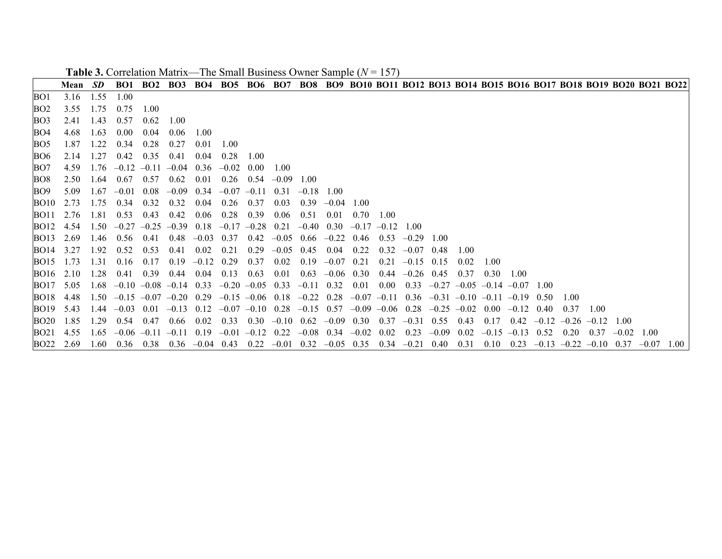|                 | Mean | SD.               | <b>BO1</b> |                         |                              |                     |                                              |              |              |              |              |              |                 |              |                 |      |         |                                        |         |                              |         | BO2 BO3 BO4 BO5 BO6 BO7 BO8 BO9 BO10 BO11 BO12 BO13 BO14 BO15 BO16 BO17 BO18 BO19 BO20 BO21 BO22 |         |      |
|-----------------|------|-------------------|------------|-------------------------|------------------------------|---------------------|----------------------------------------------|--------------|--------------|--------------|--------------|--------------|-----------------|--------------|-----------------|------|---------|----------------------------------------|---------|------------------------------|---------|--------------------------------------------------------------------------------------------------|---------|------|
| BO <sub>1</sub> | 3.16 | 1.55              | 1.00       |                         |                              |                     |                                              |              |              |              |              |              |                 |              |                 |      |         |                                        |         |                              |         |                                                                                                  |         |      |
| BO <sub>2</sub> | 3.55 | 1.75              | 0.75       | 1.00                    |                              |                     |                                              |              |              |              |              |              |                 |              |                 |      |         |                                        |         |                              |         |                                                                                                  |         |      |
| BO3             | 2.41 | 1.43              | 0.57       | 0.62                    | 1.00                         |                     |                                              |              |              |              |              |              |                 |              |                 |      |         |                                        |         |                              |         |                                                                                                  |         |      |
| BO4             | 4.68 | 1.63              | 0.00       | 0.04                    | 0.06                         | 1.00                |                                              |              |              |              |              |              |                 |              |                 |      |         |                                        |         |                              |         |                                                                                                  |         |      |
| BO <sub>5</sub> | 1.87 | 1.22              | 0.34       | 0.28                    | 0.27                         | 0.01                | 1.00                                         |              |              |              |              |              |                 |              |                 |      |         |                                        |         |                              |         |                                                                                                  |         |      |
| BO6             | 2.14 | 1.27              | 0.42       | 0.35                    | 0.41                         | 0.04                | 0.28                                         | 1.00         |              |              |              |              |                 |              |                 |      |         |                                        |         |                              |         |                                                                                                  |         |      |
| BO7             | 4.59 | 1.76              | $-0.12$    | $-0.11$                 | $-0.04$                      | 0.36                | $-0.02$                                      | 0.00         | 1.00         |              |              |              |                 |              |                 |      |         |                                        |         |                              |         |                                                                                                  |         |      |
| BO8             | 2.50 | 1.64              | 0.67       | 0.57                    | 0.62                         | 0.01                | 0.26                                         | 0.54         | $-0.09$      | 1.00         |              |              |                 |              |                 |      |         |                                        |         |                              |         |                                                                                                  |         |      |
| BO9             | 5.09 | 1.67              | $-0.01$    | 0.08                    | $-0.09$                      | 0.34                | $-0.07$                                      | $-0.11$      | 0.31         | $-0.18$      | 1.00         |              |                 |              |                 |      |         |                                        |         |                              |         |                                                                                                  |         |      |
| BO10            | 2.73 | 1.75              | 0.34       | 0.32                    | 0.32                         | 0.04                | 0.26                                         | 0.37         | 0.03         | 0.39         | $-0.04$      | 1.00         |                 |              |                 |      |         |                                        |         |                              |         |                                                                                                  |         |      |
| BO11            | 2.76 | 1.81              | 0.53       | 0.43                    | 0.42                         | 0.06                | 0.28                                         | 0.39         | 0.06         | 0.51         | 0.01         | 0.70         | 1.00            |              |                 |      |         |                                        |         |                              |         |                                                                                                  |         |      |
| <b>BO12</b>     | 4.54 | 1.50 <sup>°</sup> | $-0.27$    | $-0.25$                 | $-0.39$                      | 0.18                | $-0.17$                                      | $-0.28$      | 0.21         | $-0.40$      | 0.30         | $-0.17$      | $-0.12$         | 1.00         |                 |      |         |                                        |         |                              |         |                                                                                                  |         |      |
| BO13            | 2.69 | 1.46              | 0.56       | 0.41                    | 0.48                         | $-0.03$             | 0.37                                         | 0.42         | $-0.05$      | 0.66         | $-0.22$      | 0.46         | 0.53            | $-0.29$      | 1.00            |      |         |                                        |         |                              |         |                                                                                                  |         |      |
| <b>BO14</b>     | 3.27 | 1.92              | 0.52       | 0.53                    | 0.41                         | 0.02                | 0.21                                         | 0.29         | $-0.05$      | 0.45         | 0.04         | 0.22         | 0.32            | $-0.07$      | 0.48            | 1.00 |         |                                        |         |                              |         |                                                                                                  |         |      |
| <b>BO15</b>     | 1.73 | 1.31              | 0.16       | 0.17                    | 0.19                         | $-0.12$             | 0.29                                         | 0.37         | 0.02         | 0.19         | $-0.07$      | 0.21         | 0.21            | $-0.15$      | 0.15            | 0.02 | 1.00    |                                        |         |                              |         |                                                                                                  |         |      |
| BO16            | 2.10 | 1.28              | 0.41       | 0.39                    | 0.44                         | 0.04                | 0.13                                         | 0.63         | 0.01         | 0.63         | $-0.06$      | 0.30         | 0.44            | $-0.26$ 0.45 |                 | 0.37 | 0.30    | 1.00                                   |         |                              |         |                                                                                                  |         |      |
| <b>BO17</b>     | 5.05 | 1.68              |            | $-0.10$ $-0.08$ $-0.14$ |                              | 0.33                | $-0.20$ $-0.05$ 0.33                         |              |              | $-0.11$      | 0.32         | 0.01         | $0.00\,$        | 0.33         | $-0.27$         |      |         | $-0.05$ $-0.14$ $-0.07$                | 1.00    |                              |         |                                                                                                  |         |      |
| BO18            | 4.48 | 1.50 <sup>2</sup> |            |                         | $-0.15$ $-0.07$ $-0.20$ 0.29 |                     | $-0.15$ $-0.06$ 0.18 $-0.22$ 0.28            |              |              |              |              | $-0.07$      | $-0.11$         |              |                 |      |         | $0.36$ $-0.31$ $-0.10$ $-0.11$ $-0.19$ | 0.50    | 1.00                         |         |                                                                                                  |         |      |
| <b>BO19</b>     | 5.43 | 1.44              | $-0.03$    | 0.01                    | $-0.13$                      |                     | $0.12$ $-0.07$ $-0.10$ $0.28$ $-0.15$ $0.57$ |              |              |              |              |              | $-0.09$ $-0.06$ | 0.28         | $-0.25$ $-0.02$ |      | 0.00    | $-0.12$                                | 0.40    | 0.37                         | 1.00    |                                                                                                  |         |      |
| <b>BO20</b>     | 1.85 | 1.29              | 0.54       | 0.47                    | 0.66                         | 0.02                | 0.33                                         | 0.30         | $-0.10$      |              | $0.62 -0.09$ | 0.30         | 0.37            | $-0.31$      | 0.55            | 0.43 | 0.17    | 0.42                                   | $-0.12$ | $-0.26$                      | $-0.12$ | 1.00                                                                                             |         |      |
| <b>BO21</b>     | 4.55 | 1.65              |            | $-0.06$ $-0.11$         | $-0.11$                      | 0.19                | $-0.01$                                      | $-0.12$ 0.22 |              | $-0.08$ 0.34 |              | $-0.02$      | 0.02            | 0.23         | $-0.09$         | 0.02 | $-0.15$ | $-0.13$                                | 0.52    | 0.20                         | 0.37    | $-0.02$                                                                                          | 1.00    |      |
| BO22 2.69       |      | 1.60              | 0.36       | 0.38                    |                              | $0.36$ $-0.04$ 0.43 |                                              | 0.22         | $-0.01$ 0.32 |              |              | $-0.05$ 0.35 | 0.34            | $-0.21$ 0.40 |                 | 0.31 | 0.10    | 0.23                                   |         | $-0.13$ $-0.22$ $-0.10$ 0.37 |         |                                                                                                  | $-0.07$ | 1.00 |

**Table 3.** Correlation Matrix—The Small Business Owner Sample (*N* = 157)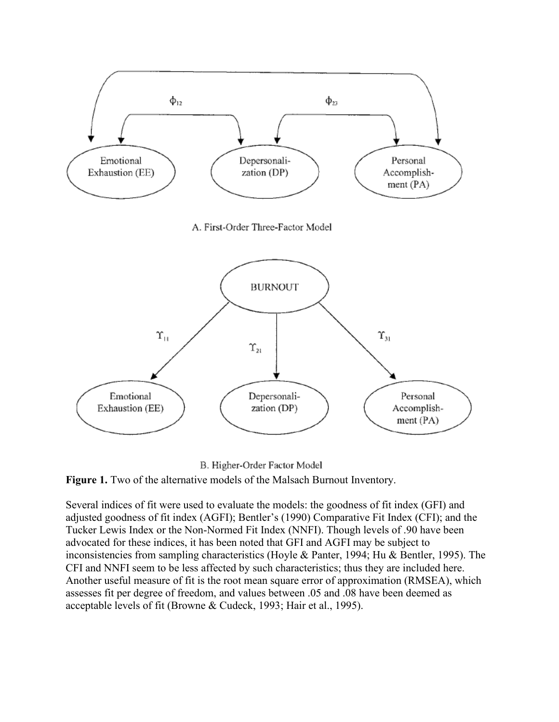



**Figure 1.** Two of the alternative models of the Malsach Burnout Inventory.

Several indices of fit were used to evaluate the models: the goodness of fit index (GFI) and adjusted goodness of fit index (AGFI); Bentler's (1990) Comparative Fit Index (CFI); and the Tucker Lewis Index or the Non-Normed Fit Index (NNFI). Though levels of .90 have been advocated for these indices, it has been noted that GFI and AGFI may be subject to inconsistencies from sampling characteristics (Hoyle & Panter, 1994; Hu & Bentler, 1995). The CFI and NNFI seem to be less affected by such characteristics; thus they are included here. Another useful measure of fit is the root mean square error of approximation (RMSEA), which assesses fit per degree of freedom, and values between .05 and .08 have been deemed as acceptable levels of fit (Browne & Cudeck, 1993; Hair et al., 1995).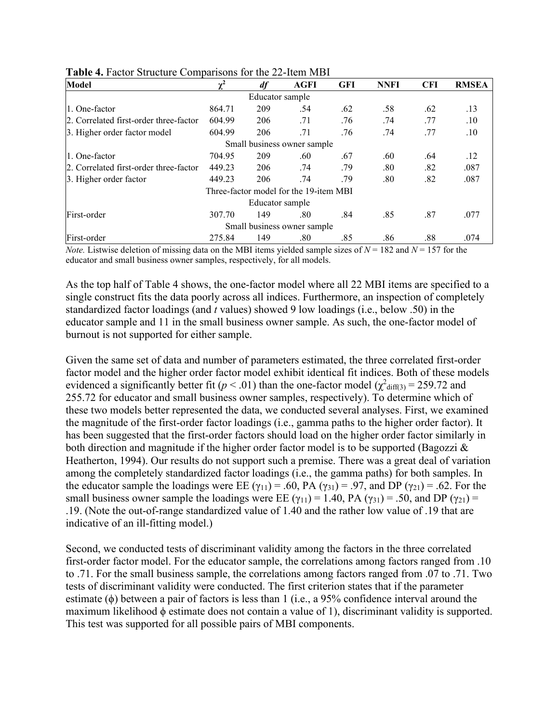| <b>Model</b>                           | $\chi^2$ | df              | <b>AGFI</b>                            | <b>GFI</b> | <b>NNFI</b> | <b>CFI</b> | <b>RMSEA</b> |
|----------------------------------------|----------|-----------------|----------------------------------------|------------|-------------|------------|--------------|
|                                        |          | Educator sample |                                        |            |             |            |              |
| 1. One-factor                          | 864.71   | 209             | .54                                    | .62        | .58         | .62        | .13          |
| 2. Correlated first-order three-factor | 604.99   | 206             | .71                                    | .76        | .74         | .77        | .10          |
| 3. Higher order factor model           | 604.99   | 206             | .71                                    | .76        | .74         | .77        | .10          |
|                                        |          |                 | Small business owner sample            |            |             |            |              |
| 1. One-factor                          | 704.95   | 209             | .60                                    | .67        | .60         | .64        | .12          |
| 2. Correlated first-order three-factor | 449.23   | 206             | .74                                    | .79        | .80         | .82        | .087         |
| 3. Higher order factor                 | 449.23   | 206             | .74                                    | .79        | .80         | .82        | .087         |
|                                        |          |                 | Three-factor model for the 19-item MBI |            |             |            |              |
|                                        |          | Educator sample |                                        |            |             |            |              |
| First-order                            | 307.70   | 149             | .80                                    | .84        | .85         | .87        | .077         |
|                                        |          |                 | Small business owner sample            |            |             |            |              |
| First-order                            | 275.84   | 149             | .80                                    | .85        | .86         | .88        | .074         |

**Table 4.** Factor Structure Comparisons for the 22-Item MBI

*Note.* Listwise deletion of missing data on the MBI items yielded sample sizes of  $N = 182$  and  $N = 157$  for the educator and small business owner samples, respectively, for all models.

As the top half of Table 4 shows, the one-factor model where all 22 MBI items are specified to a single construct fits the data poorly across all indices. Furthermore, an inspection of completely standardized factor loadings (and *t* values) showed 9 low loadings (i.e., below .50) in the educator sample and 11 in the small business owner sample. As such, the one-factor model of burnout is not supported for either sample.

Given the same set of data and number of parameters estimated, the three correlated first-order factor model and the higher order factor model exhibit identical fit indices. Both of these models evidenced a significantly better fit ( $p < .01$ ) than the one-factor model ( $\chi^2$ <sub>diff(3)</sub> = 259.72 and 255.72 for educator and small business owner samples, respectively). To determine which of these two models better represented the data, we conducted several analyses. First, we examined the magnitude of the first-order factor loadings (i.e., gamma paths to the higher order factor). It has been suggested that the first-order factors should load on the higher order factor similarly in both direction and magnitude if the higher order factor model is to be supported (Bagozzi & Heatherton, 1994). Our results do not support such a premise. There was a great deal of variation among the completely standardized factor loadings (i.e., the gamma paths) for both samples. In the educator sample the loadings were EE ( $\gamma_{11}$ ) = .60, PA ( $\gamma_{31}$ ) = .97, and DP ( $\gamma_{21}$ ) = .62. For the small business owner sample the loadings were EE ( $\gamma_{11}$ ) = 1.40, PA ( $\gamma_{31}$ ) = .50, and DP ( $\gamma_{21}$ ) = .19. (Note the out-of-range standardized value of 1.40 and the rather low value of .19 that are indicative of an ill-fitting model.)

Second, we conducted tests of discriminant validity among the factors in the three correlated first-order factor model. For the educator sample, the correlations among factors ranged from .10 to .71. For the small business sample, the correlations among factors ranged from .07 to .71. Two tests of discriminant validity were conducted. The first criterion states that if the parameter estimate (ϕ) between a pair of factors is less than 1 (i.e., a 95% confidence interval around the maximum likelihood  $\phi$  estimate does not contain a value of 1), discriminant validity is supported. This test was supported for all possible pairs of MBI components.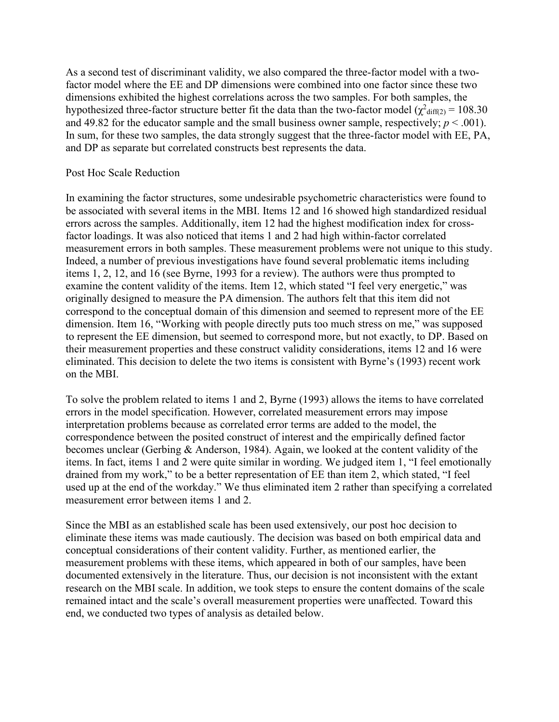As a second test of discriminant validity, we also compared the three-factor model with a twofactor model where the EE and DP dimensions were combined into one factor since these two dimensions exhibited the highest correlations across the two samples. For both samples, the hypothesized three-factor structure better fit the data than the two-factor model ( $\chi^2$ <sub>diff(2)</sub> = 108.30 and 49.82 for the educator sample and the small business owner sample, respectively;  $p < .001$ ). In sum, for these two samples, the data strongly suggest that the three-factor model with EE, PA, and DP as separate but correlated constructs best represents the data.

#### Post Hoc Scale Reduction

In examining the factor structures, some undesirable psychometric characteristics were found to be associated with several items in the MBI. Items 12 and 16 showed high standardized residual errors across the samples. Additionally, item 12 had the highest modification index for crossfactor loadings. It was also noticed that items 1 and 2 had high within-factor correlated measurement errors in both samples. These measurement problems were not unique to this study. Indeed, a number of previous investigations have found several problematic items including items 1, 2, 12, and 16 (see Byrne, 1993 for a review). The authors were thus prompted to examine the content validity of the items. Item 12, which stated "I feel very energetic," was originally designed to measure the PA dimension. The authors felt that this item did not correspond to the conceptual domain of this dimension and seemed to represent more of the EE dimension. Item 16, "Working with people directly puts too much stress on me," was supposed to represent the EE dimension, but seemed to correspond more, but not exactly, to DP. Based on their measurement properties and these construct validity considerations, items 12 and 16 were eliminated. This decision to delete the two items is consistent with Byrne's (1993) recent work on the MBI.

To solve the problem related to items 1 and 2, Byrne (1993) allows the items to have correlated errors in the model specification. However, correlated measurement errors may impose interpretation problems because as correlated error terms are added to the model, the correspondence between the posited construct of interest and the empirically defined factor becomes unclear (Gerbing & Anderson, 1984). Again, we looked at the content validity of the items. In fact, items 1 and 2 were quite similar in wording. We judged item 1, "I feel emotionally drained from my work," to be a better representation of EE than item 2, which stated, "I feel used up at the end of the workday." We thus eliminated item 2 rather than specifying a correlated measurement error between items 1 and 2.

Since the MBI as an established scale has been used extensively, our post hoc decision to eliminate these items was made cautiously. The decision was based on both empirical data and conceptual considerations of their content validity. Further, as mentioned earlier, the measurement problems with these items, which appeared in both of our samples, have been documented extensively in the literature. Thus, our decision is not inconsistent with the extant research on the MBI scale. In addition, we took steps to ensure the content domains of the scale remained intact and the scale's overall measurement properties were unaffected. Toward this end, we conducted two types of analysis as detailed below.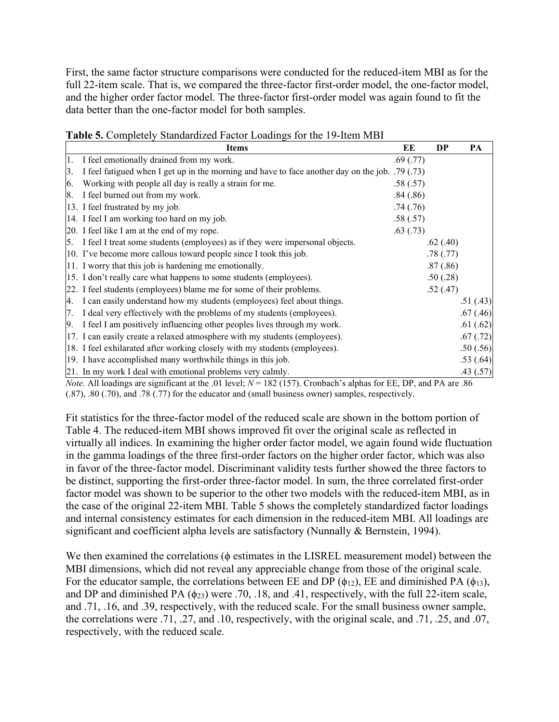First, the same factor structure comparisons were conducted for the reduced-item MBI as for the full 22-item scale. That is, we compared the three-factor first-order model, the one-factor model, and the higher order factor model. The three-factor first-order model was again found to fit the data better than the one-factor model for both samples.

|    | <b>Items</b>                                                                                    | ЕE       | DP       | PA       |
|----|-------------------------------------------------------------------------------------------------|----------|----------|----------|
| 1. | I feel emotionally drained from my work.                                                        | .69(.77) |          |          |
| 3. | I feel fatigued when I get up in the morning and have to face another day on the job. .79 (.73) |          |          |          |
| 6. | Working with people all day is really a strain for me.                                          | .58(.57) |          |          |
| 8. | I feel burned out from my work.                                                                 | .84(.86) |          |          |
|    | 13. I feel frustrated by my job.                                                                | .74(.76) |          |          |
|    | 14. I feel I am working too hard on my job.                                                     | .58(.57) |          |          |
|    | 20. I feel like I am at the end of my rope.                                                     | .63(.73) |          |          |
| 5. | I feel I treat some students (employees) as if they were impersonal objects.                    |          | .62(.40) |          |
|    | 10. I've become more callous toward people since I took this job.                               |          | .78(.77) |          |
|    | 11. I worry that this job is hardening me emotionally.                                          |          | .87(.86) |          |
|    | 15. I don't really care what happens to some students (employees).                              |          | .50(.28) |          |
|    | 22. I feel students (employees) blame me for some of their problems.                            |          | .52(.47) |          |
| 4. | I can easily understand how my students (employees) feel about things.                          |          |          | .51(.43) |
|    | I deal very effectively with the problems of my students (employees).                           |          |          | .67(.46) |
| 9. | I feel I am positively influencing other peoples lives through my work.                         |          |          | .61(.62) |
|    | 17. I can easily create a relaxed atmosphere with my students (employees).                      |          |          | .67(.72) |
|    | 18. I feel exhilarated after working closely with my students (employees).                      |          |          | .50(.56) |
|    | 19. I have accomplished many worthwhile things in this job.                                     |          |          | .53(.64) |
|    | 21. In my work I deal with emotional problems very calmly.                                      |          |          | .43(.57) |

|  | Table 5. Completely Standardized Factor Loadings for the 19-Item MBI |  |  |
|--|----------------------------------------------------------------------|--|--|
|--|----------------------------------------------------------------------|--|--|

*Note.* All loadings are significant at the .01 level;  $N = 182$  (157). Cronbach's alphas for EE, DP, and PA are .86 (.87), .80 (.70), and .78 (.77) for the educator and (small business owner) samples, respectively.

Fit statistics for the three-factor model of the reduced scale are shown in the bottom portion of Table 4. The reduced-item MBI shows improved fit over the original scale as reflected in virtually all indices. In examining the higher order factor model, we again found wide fluctuation in the gamma loadings of the three first-order factors on the higher order factor, which was also in favor of the three-factor model. Discriminant validity tests further showed the three factors to be distinct, supporting the first-order three-factor model. In sum, the three correlated first-order factor model was shown to be superior to the other two models with the reduced-item MBI, as in the case of the original 22-item MBI. Table 5 shows the completely standardized factor loadings and internal consistency estimates for each dimension in the reduced-item MBI. All loadings are significant and coefficient alpha levels are satisfactory (Nunnally & Bernstein, 1994).

We then examined the correlations (ϕ estimates in the LISREL measurement model) between the MBI dimensions, which did not reveal any appreciable change from those of the original scale. For the educator sample, the correlations between EE and DP ( $\phi_{12}$ ), EE and diminished PA ( $\phi_{13}$ ), and DP and diminished PA  $(\phi_{23})$  were .70, .18, and .41, respectively, with the full 22-item scale, and .71, .16, and .39, respectively, with the reduced scale. For the small business owner sample, the correlations were .71, .27, and .10, respectively, with the original scale, and .71, .25, and .07, respectively, with the reduced scale.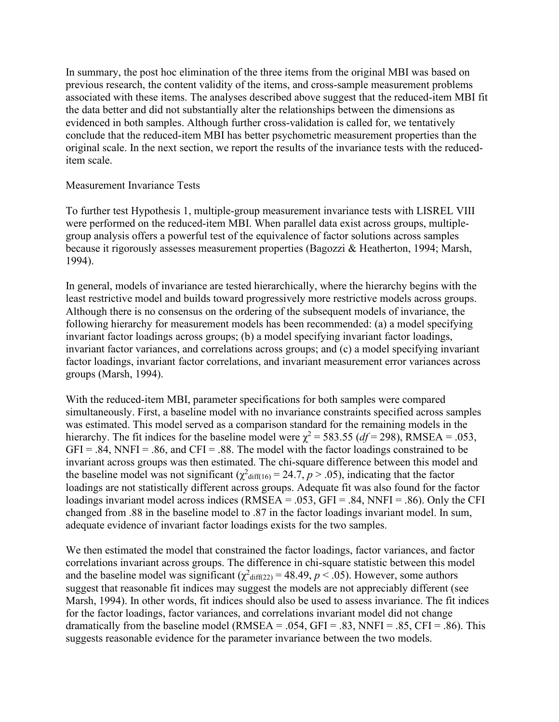In summary, the post hoc elimination of the three items from the original MBI was based on previous research, the content validity of the items, and cross-sample measurement problems associated with these items. The analyses described above suggest that the reduced-item MBI fit the data better and did not substantially alter the relationships between the dimensions as evidenced in both samples. Although further cross-validation is called for, we tentatively conclude that the reduced-item MBI has better psychometric measurement properties than the original scale. In the next section, we report the results of the invariance tests with the reduceditem scale.

#### Measurement Invariance Tests

To further test Hypothesis 1, multiple-group measurement invariance tests with LISREL VIII were performed on the reduced-item MBI. When parallel data exist across groups, multiplegroup analysis offers a powerful test of the equivalence of factor solutions across samples because it rigorously assesses measurement properties (Bagozzi & Heatherton, 1994; Marsh, 1994).

In general, models of invariance are tested hierarchically, where the hierarchy begins with the least restrictive model and builds toward progressively more restrictive models across groups. Although there is no consensus on the ordering of the subsequent models of invariance, the following hierarchy for measurement models has been recommended: (a) a model specifying invariant factor loadings across groups; (b) a model specifying invariant factor loadings, invariant factor variances, and correlations across groups; and (c) a model specifying invariant factor loadings, invariant factor correlations, and invariant measurement error variances across groups (Marsh, 1994).

With the reduced-item MBI, parameter specifications for both samples were compared simultaneously. First, a baseline model with no invariance constraints specified across samples was estimated. This model served as a comparison standard for the remaining models in the hierarchy. The fit indices for the baseline model were  $\chi^2$  = 583.55 (*df* = 298), RMSEA = .053,  $GFI = .84$ , NNFI = .86, and CFI = .88. The model with the factor loadings constrained to be invariant across groups was then estimated. The chi-square difference between this model and the baseline model was not significant ( $\chi^2$ <sub>diff(16)</sub> = 24.7, *p* > .05), indicating that the factor loadings are not statistically different across groups. Adequate fit was also found for the factor loadings invariant model across indices (RMSEA = .053, GFI = .84, NNFI = .86). Only the CFI changed from .88 in the baseline model to .87 in the factor loadings invariant model. In sum, adequate evidence of invariant factor loadings exists for the two samples.

We then estimated the model that constrained the factor loadings, factor variances, and factor correlations invariant across groups. The difference in chi-square statistic between this model and the baseline model was significant  $(\chi^2_{\text{diff}(22)} = 48.49, p < .05)$ . However, some authors suggest that reasonable fit indices may suggest the models are not appreciably different (see Marsh, 1994). In other words, fit indices should also be used to assess invariance. The fit indices for the factor loadings, factor variances, and correlations invariant model did not change dramatically from the baseline model (RMSEA = .054, GFI = .83, NNFI = .85, CFI = .86). This suggests reasonable evidence for the parameter invariance between the two models.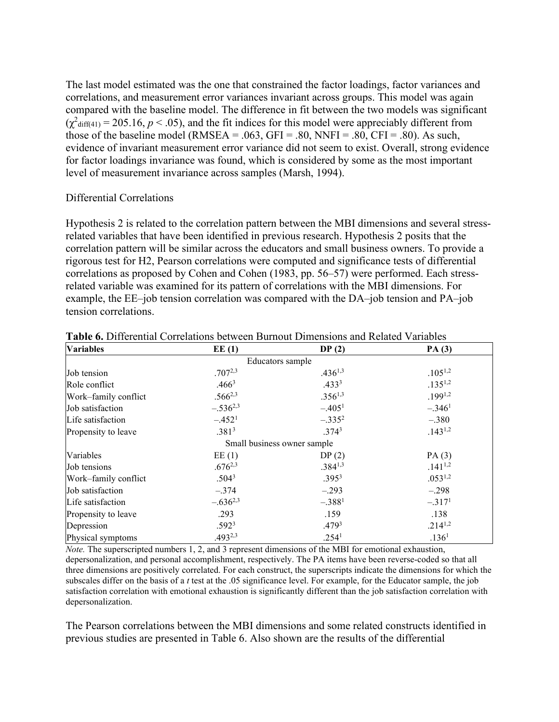The last model estimated was the one that constrained the factor loadings, factor variances and correlations, and measurement error variances invariant across groups. This model was again compared with the baseline model. The difference in fit between the two models was significant  $(\chi^2_{\text{diff}(41)} = 205.16, p < .05)$ , and the fit indices for this model were appreciably different from those of the baseline model (RMSEA = .063, GFI = .80, NNFI = .80, CFI = .80). As such, evidence of invariant measurement error variance did not seem to exist. Overall, strong evidence for factor loadings invariance was found, which is considered by some as the most important level of measurement invariance across samples (Marsh, 1994).

#### Differential Correlations

Hypothesis 2 is related to the correlation pattern between the MBI dimensions and several stressrelated variables that have been identified in previous research. Hypothesis 2 posits that the correlation pattern will be similar across the educators and small business owners. To provide a rigorous test for H2, Pearson correlations were computed and significance tests of differential correlations as proposed by Cohen and Cohen (1983, pp. 56–57) were performed. Each stressrelated variable was examined for its pattern of correlations with the MBI dimensions. For example, the EE–job tension correlation was compared with the DA–job tension and PA–job tension correlations.

| <b>Variables</b>     | EE(1)                       | DP(2)             | PA(3)             |
|----------------------|-----------------------------|-------------------|-------------------|
|                      | Educators sample            |                   |                   |
| Job tension          | $.707^{2,3}$                | $.436^{1,3}$      | $.105^{1,2}$      |
| Role conflict        | .466 <sup>3</sup>           | .433 <sup>3</sup> | $.135^{1,2}$      |
| Work-family conflict | $.566^{2,3}$                | $.356^{1,3}$      | $.199^{1,2}$      |
| Job satisfaction     | $-.536^{2,3}$               | $-.4051$          | $-.3461$          |
| Life satisfaction    | $-.4521$                    | $-.3352$          | $-.380$           |
| Propensity to leave  | .381 <sup>3</sup>           | .374 <sup>3</sup> | $.143^{1,2}$      |
|                      | Small business owner sample |                   |                   |
| Variables            | EE(1)                       | DP(2)             | PA(3)             |
| Job tensions         | $.676^{2,3}$                | $.384^{1,3}$      | $.141^{1,2}$      |
| Work-family conflict | .504 <sup>3</sup>           | .395 <sup>3</sup> | $.053^{1,2}$      |
| Job satisfaction     | $-.374$                     | $-.293$           | $-.298$           |
| Life satisfaction    | $-.636^{2,3}$               | $-.3881$          | $-.3171$          |
| Propensity to leave  | .293                        | .159              | .138              |
| Depression           | .592 <sup>3</sup>           | .479 <sup>3</sup> | $.214^{1,2}$      |
| Physical symptoms    | $.493^{2,3}$                | .254 <sup>1</sup> | .136 <sup>1</sup> |

**Table 6.** Differential Correlations between Burnout Dimensions and Related Variables

*Note.* The superscripted numbers 1, 2, and 3 represent dimensions of the MBI for emotional exhaustion, depersonalization, and personal accomplishment, respectively. The PA items have been reverse-coded so that all three dimensions are positively correlated. For each construct, the superscripts indicate the dimensions for which the subscales differ on the basis of a *t* test at the .05 significance level. For example, for the Educator sample, the job satisfaction correlation with emotional exhaustion is significantly different than the job satisfaction correlation with depersonalization.

The Pearson correlations between the MBI dimensions and some related constructs identified in previous studies are presented in Table 6. Also shown are the results of the differential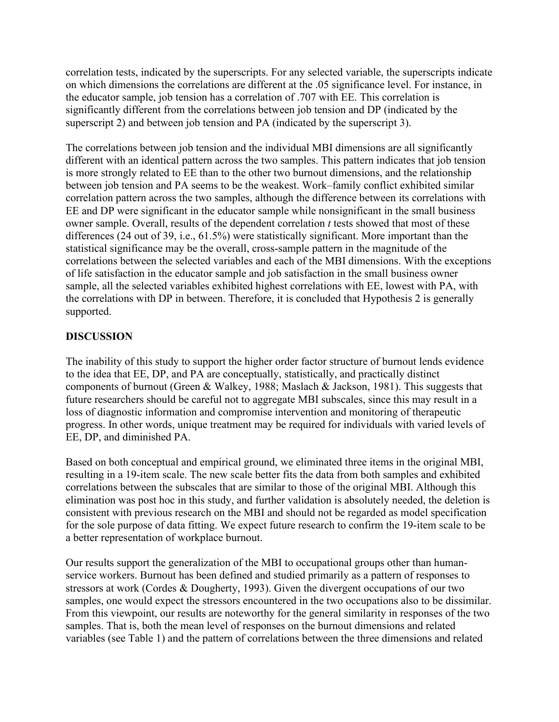correlation tests, indicated by the superscripts. For any selected variable, the superscripts indicate on which dimensions the correlations are different at the .05 significance level. For instance, in the educator sample, job tension has a correlation of .707 with EE. This correlation is significantly different from the correlations between job tension and DP (indicated by the superscript 2) and between job tension and PA (indicated by the superscript 3).

The correlations between job tension and the individual MBI dimensions are all significantly different with an identical pattern across the two samples. This pattern indicates that job tension is more strongly related to EE than to the other two burnout dimensions, and the relationship between job tension and PA seems to be the weakest. Work–family conflict exhibited similar correlation pattern across the two samples, although the difference between its correlations with EE and DP were significant in the educator sample while nonsignificant in the small business owner sample. Overall, results of the dependent correlation *t* tests showed that most of these differences (24 out of 39, i.e., 61.5%) were statistically significant. More important than the statistical significance may be the overall, cross-sample pattern in the magnitude of the correlations between the selected variables and each of the MBI dimensions. With the exceptions of life satisfaction in the educator sample and job satisfaction in the small business owner sample, all the selected variables exhibited highest correlations with EE, lowest with PA, with the correlations with DP in between. Therefore, it is concluded that Hypothesis 2 is generally supported.

# **DISCUSSION**

The inability of this study to support the higher order factor structure of burnout lends evidence to the idea that EE, DP, and PA are conceptually, statistically, and practically distinct components of burnout (Green & Walkey, 1988; Maslach & Jackson, 1981). This suggests that future researchers should be careful not to aggregate MBI subscales, since this may result in a loss of diagnostic information and compromise intervention and monitoring of therapeutic progress. In other words, unique treatment may be required for individuals with varied levels of EE, DP, and diminished PA.

Based on both conceptual and empirical ground, we eliminated three items in the original MBI, resulting in a 19-item scale. The new scale better fits the data from both samples and exhibited correlations between the subscales that are similar to those of the original MBI. Although this elimination was post hoc in this study, and further validation is absolutely needed, the deletion is consistent with previous research on the MBI and should not be regarded as model specification for the sole purpose of data fitting. We expect future research to confirm the 19-item scale to be a better representation of workplace burnout.

Our results support the generalization of the MBI to occupational groups other than humanservice workers. Burnout has been defined and studied primarily as a pattern of responses to stressors at work (Cordes & Dougherty, 1993). Given the divergent occupations of our two samples, one would expect the stressors encountered in the two occupations also to be dissimilar. From this viewpoint, our results are noteworthy for the general similarity in responses of the two samples. That is, both the mean level of responses on the burnout dimensions and related variables (see Table 1) and the pattern of correlations between the three dimensions and related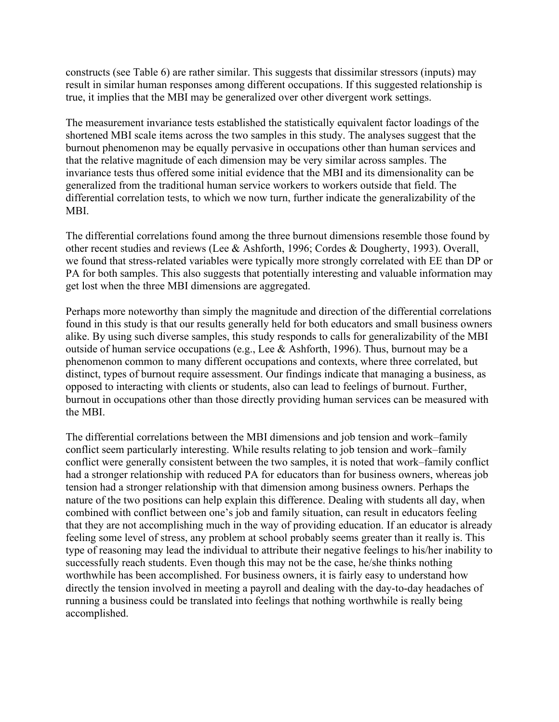constructs (see Table 6) are rather similar. This suggests that dissimilar stressors (inputs) may result in similar human responses among different occupations. If this suggested relationship is true, it implies that the MBI may be generalized over other divergent work settings.

The measurement invariance tests established the statistically equivalent factor loadings of the shortened MBI scale items across the two samples in this study. The analyses suggest that the burnout phenomenon may be equally pervasive in occupations other than human services and that the relative magnitude of each dimension may be very similar across samples. The invariance tests thus offered some initial evidence that the MBI and its dimensionality can be generalized from the traditional human service workers to workers outside that field. The differential correlation tests, to which we now turn, further indicate the generalizability of the MBI.

The differential correlations found among the three burnout dimensions resemble those found by other recent studies and reviews (Lee & Ashforth, 1996; Cordes & Dougherty, 1993). Overall, we found that stress-related variables were typically more strongly correlated with EE than DP or PA for both samples. This also suggests that potentially interesting and valuable information may get lost when the three MBI dimensions are aggregated.

Perhaps more noteworthy than simply the magnitude and direction of the differential correlations found in this study is that our results generally held for both educators and small business owners alike. By using such diverse samples, this study responds to calls for generalizability of the MBI outside of human service occupations (e.g., Lee & Ashforth, 1996). Thus, burnout may be a phenomenon common to many different occupations and contexts, where three correlated, but distinct, types of burnout require assessment. Our findings indicate that managing a business, as opposed to interacting with clients or students, also can lead to feelings of burnout. Further, burnout in occupations other than those directly providing human services can be measured with the MBI.

The differential correlations between the MBI dimensions and job tension and work–family conflict seem particularly interesting. While results relating to job tension and work–family conflict were generally consistent between the two samples, it is noted that work–family conflict had a stronger relationship with reduced PA for educators than for business owners, whereas job tension had a stronger relationship with that dimension among business owners. Perhaps the nature of the two positions can help explain this difference. Dealing with students all day, when combined with conflict between one's job and family situation, can result in educators feeling that they are not accomplishing much in the way of providing education. If an educator is already feeling some level of stress, any problem at school probably seems greater than it really is. This type of reasoning may lead the individual to attribute their negative feelings to his/her inability to successfully reach students. Even though this may not be the case, he/she thinks nothing worthwhile has been accomplished. For business owners, it is fairly easy to understand how directly the tension involved in meeting a payroll and dealing with the day-to-day headaches of running a business could be translated into feelings that nothing worthwhile is really being accomplished.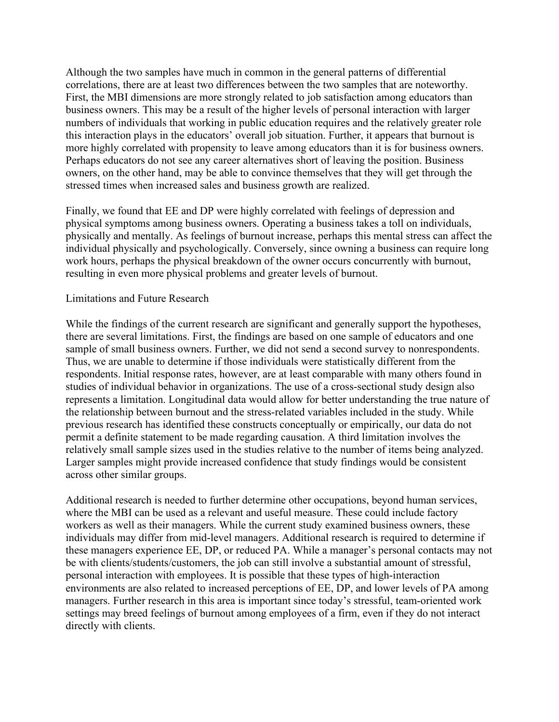Although the two samples have much in common in the general patterns of differential correlations, there are at least two differences between the two samples that are noteworthy. First, the MBI dimensions are more strongly related to job satisfaction among educators than business owners. This may be a result of the higher levels of personal interaction with larger numbers of individuals that working in public education requires and the relatively greater role this interaction plays in the educators' overall job situation. Further, it appears that burnout is more highly correlated with propensity to leave among educators than it is for business owners. Perhaps educators do not see any career alternatives short of leaving the position. Business owners, on the other hand, may be able to convince themselves that they will get through the stressed times when increased sales and business growth are realized.

Finally, we found that EE and DP were highly correlated with feelings of depression and physical symptoms among business owners. Operating a business takes a toll on individuals, physically and mentally. As feelings of burnout increase, perhaps this mental stress can affect the individual physically and psychologically. Conversely, since owning a business can require long work hours, perhaps the physical breakdown of the owner occurs concurrently with burnout, resulting in even more physical problems and greater levels of burnout.

#### Limitations and Future Research

While the findings of the current research are significant and generally support the hypotheses, there are several limitations. First, the findings are based on one sample of educators and one sample of small business owners. Further, we did not send a second survey to nonrespondents. Thus, we are unable to determine if those individuals were statistically different from the respondents. Initial response rates, however, are at least comparable with many others found in studies of individual behavior in organizations. The use of a cross-sectional study design also represents a limitation. Longitudinal data would allow for better understanding the true nature of the relationship between burnout and the stress-related variables included in the study. While previous research has identified these constructs conceptually or empirically, our data do not permit a definite statement to be made regarding causation. A third limitation involves the relatively small sample sizes used in the studies relative to the number of items being analyzed. Larger samples might provide increased confidence that study findings would be consistent across other similar groups.

Additional research is needed to further determine other occupations, beyond human services, where the MBI can be used as a relevant and useful measure. These could include factory workers as well as their managers. While the current study examined business owners, these individuals may differ from mid-level managers. Additional research is required to determine if these managers experience EE, DP, or reduced PA. While a manager's personal contacts may not be with clients/students/customers, the job can still involve a substantial amount of stressful, personal interaction with employees. It is possible that these types of high-interaction environments are also related to increased perceptions of EE, DP, and lower levels of PA among managers. Further research in this area is important since today's stressful, team-oriented work settings may breed feelings of burnout among employees of a firm, even if they do not interact directly with clients.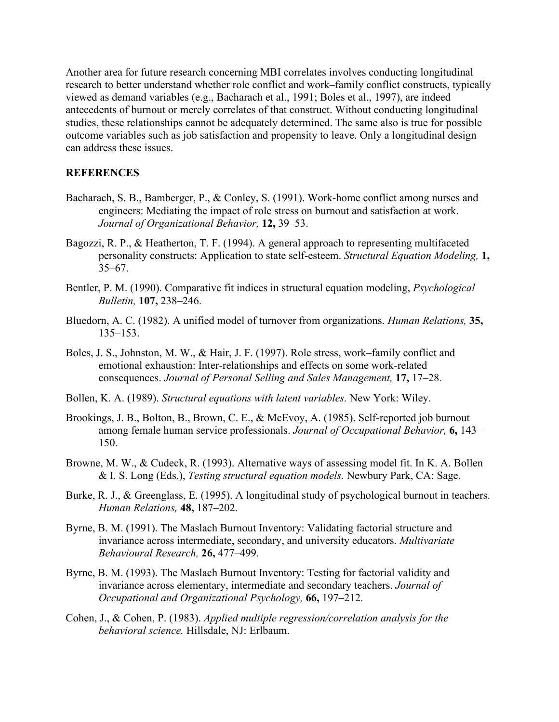Another area for future research concerning MBI correlates involves conducting longitudinal research to better understand whether role conflict and work–family conflict constructs, typically viewed as demand variables (e.g., Bacharach et al., 1991; Boles et al., 1997), are indeed antecedents of burnout or merely correlates of that construct. Without conducting longitudinal studies, these relationships cannot be adequately determined. The same also is true for possible outcome variables such as job satisfaction and propensity to leave. Only a longitudinal design can address these issues.

#### **REFERENCES**

- Bacharach, S. B., Bamberger, P., & Conley, S. (1991). Work-home conflict among nurses and engineers: Mediating the impact of role stress on burnout and satisfaction at work. *Journal of Organizational Behavior,* **12,** 39–53.
- Bagozzi, R. P., & Heatherton, T. F. (1994). A general approach to representing multifaceted personality constructs: Application to state self-esteem. *Structural Equation Modeling,* **1,**  $35-67$ .
- Bentler, P. M. (1990). Comparative fit indices in structural equation modeling, *Psychological Bulletin,* **107,** 238–246.
- Bluedorn, A. C. (1982). A unified model of turnover from organizations. *Human Relations,* **35,** 135–153.
- Boles, J. S., Johnston, M. W., & Hair, J. F. (1997). Role stress, work–family conflict and emotional exhaustion: Inter-relationships and effects on some work-related consequences. *Journal of Personal Selling and Sales Management,* **17,** 17–28.
- Bollen, K. A. (1989). *Structural equations with latent variables.* New York: Wiley.
- Brookings, J. B., Bolton, B., Brown, C. E., & McEvoy, A. (1985). Self-reported job burnout among female human service professionals. *Journal of Occupational Behavior,* **6,** 143– 150.
- Browne, M. W., & Cudeck, R. (1993). Alternative ways of assessing model fit. In K. A. Bollen & I. S. Long (Eds.), *Testing structural equation models.* Newbury Park, CA: Sage.
- Burke, R. J., & Greenglass, E. (1995). A longitudinal study of psychological burnout in teachers. *Human Relations,* **48,** 187–202.
- Byrne, B. M. (1991). The Maslach Burnout Inventory: Validating factorial structure and invariance across intermediate, secondary, and university educators. *Multivariate Behavioural Research,* **26,** 477–499.
- Byrne, B. M. (1993). The Maslach Burnout Inventory: Testing for factorial validity and invariance across elementary, intermediate and secondary teachers. *Journal of Occupational and Organizational Psychology,* **66,** 197–212.
- Cohen, J., & Cohen, P. (1983). *Applied multiple regression/correlation analysis for the behavioral science.* Hillsdale, NJ: Erlbaum.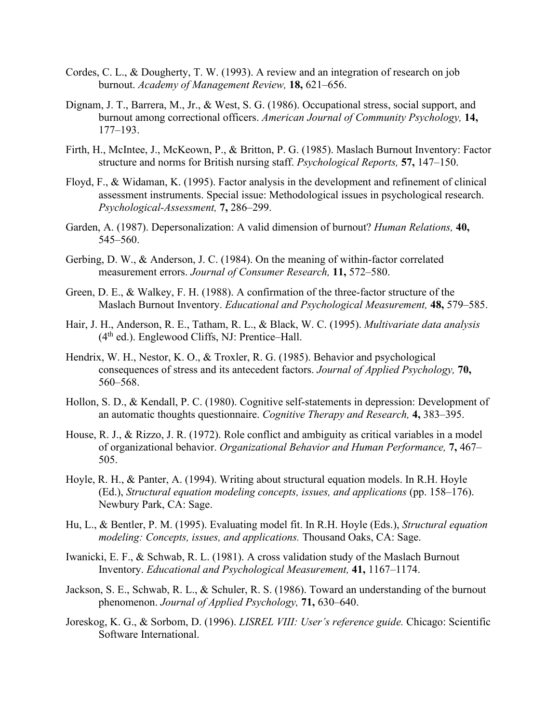- Cordes, C. L., & Dougherty, T. W. (1993). A review and an integration of research on job burnout. *Academy of Management Review,* **18,** 621–656.
- Dignam, J. T., Barrera, M., Jr., & West, S. G. (1986). Occupational stress, social support, and burnout among correctional officers. *American Journal of Community Psychology,* **14,**  177–193.
- Firth, H., McIntee, J., McKeown, P., & Britton, P. G. (1985). Maslach Burnout Inventory: Factor structure and norms for British nursing staff. *Psychological Reports,* **57,** 147–150.
- Floyd, F., & Widaman, K. (1995). Factor analysis in the development and refinement of clinical assessment instruments. Special issue: Methodological issues in psychological research. *Psychological-Assessment,* **7,** 286–299.
- Garden, A. (1987). Depersonalization: A valid dimension of burnout? *Human Relations,* **40,**  545–560.
- Gerbing, D. W., & Anderson, J. C. (1984). On the meaning of within-factor correlated measurement errors. *Journal of Consumer Research,* **11,** 572–580.
- Green, D. E., & Walkey, F. H. (1988). A confirmation of the three-factor structure of the Maslach Burnout Inventory. *Educational and Psychological Measurement,* **48,** 579–585.
- Hair, J. H., Anderson, R. E., Tatham, R. L., & Black, W. C. (1995). *Multivariate data analysis*   $(4<sup>th</sup>$  ed.). Englewood Cliffs, NJ: Prentice–Hall.
- Hendrix, W. H., Nestor, K. O., & Troxler, R. G. (1985). Behavior and psychological consequences of stress and its antecedent factors. *Journal of Applied Psychology,* **70,**  560–568.
- Hollon, S. D., & Kendall, P. C. (1980). Cognitive self-statements in depression: Development of an automatic thoughts questionnaire. *Cognitive Therapy and Research,* **4,** 383–395.
- House, R. J., & Rizzo, J. R. (1972). Role conflict and ambiguity as critical variables in a model of organizational behavior. *Organizational Behavior and Human Performance,* **7,** 467– 505.
- Hoyle, R. H., & Panter, A. (1994). Writing about structural equation models. In R.H. Hoyle (Ed.), *Structural equation modeling concepts, issues, and applications* (pp. 158–176). Newbury Park, CA: Sage.
- Hu, L., & Bentler, P. M. (1995). Evaluating model fit. In R.H. Hoyle (Eds.), *Structural equation modeling: Concepts, issues, and applications.* Thousand Oaks, CA: Sage.
- Iwanicki, E. F., & Schwab, R. L. (1981). A cross validation study of the Maslach Burnout Inventory. *Educational and Psychological Measurement,* **41,** 1167–1174.
- Jackson, S. E., Schwab, R. L., & Schuler, R. S. (1986). Toward an understanding of the burnout phenomenon. *Journal of Applied Psychology,* **71,** 630–640.
- Joreskog, K. G., & Sorbom, D. (1996). *LISREL VIII: User's reference guide.* Chicago: Scientific Software International.